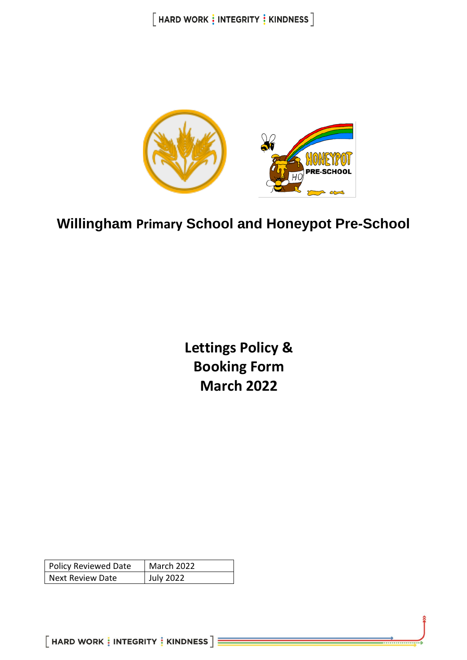

# **Willingham Primary School and Honeypot Pre-School**

**Lettings Policy & Booking Form March 2022**

| <b>Policy Reviewed Date</b> | March 2022 |
|-----------------------------|------------|
| <b>Next Review Date</b>     | July 2022  |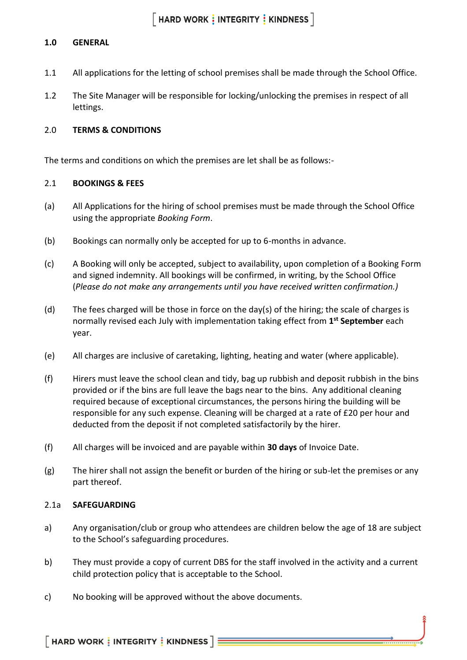#### **1.0 GENERAL**

- 1.1 All applications for the letting of school premises shall be made through the School Office.
- 1.2 The Site Manager will be responsible for locking/unlocking the premises in respect of all lettings.

#### 2.0 **TERMS & CONDITIONS**

The terms and conditions on which the premises are let shall be as follows:-

#### 2.1 **BOOKINGS & FEES**

- (a) All Applications for the hiring of school premises must be made through the School Office using the appropriate *Booking Form*.
- (b) Bookings can normally only be accepted for up to 6-months in advance.
- (c) A Booking will only be accepted, subject to availability, upon completion of a Booking Form and signed indemnity. All bookings will be confirmed, in writing, by the School Office (*Please do not make any arrangements until you have received written confirmation.)*
- (d) The fees charged will be those in force on the day(s) of the hiring; the scale of charges is normally revised each July with implementation taking effect from **1 st September** each year.
- (e) All charges are inclusive of caretaking, lighting, heating and water (where applicable).
- (f) Hirers must leave the school clean and tidy, bag up rubbish and deposit rubbish in the bins provided or if the bins are full leave the bags near to the bins. Any additional cleaning required because of exceptional circumstances, the persons hiring the building will be responsible for any such expense. Cleaning will be charged at a rate of £20 per hour and deducted from the deposit if not completed satisfactorily by the hirer.
- (f) All charges will be invoiced and are payable within **30 days** of Invoice Date.
- (g) The hirer shall not assign the benefit or burden of the hiring or sub-let the premises or any part thereof.

#### 2.1a **SAFEGUARDING**

- a) Any organisation/club or group who attendees are children below the age of 18 are subject to the School's safeguarding procedures.
- b) They must provide a copy of current DBS for the staff involved in the activity and a current child protection policy that is acceptable to the School.
- c) No booking will be approved without the above documents.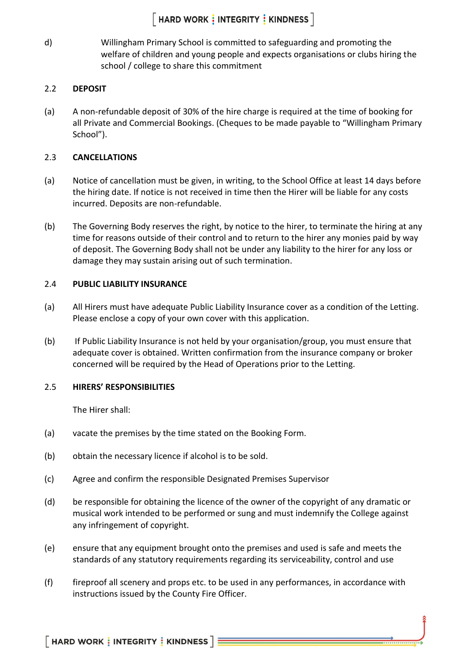## $\lceil$  HARD WORK  $\frac{1}{3}$  INTEGRITY  $\frac{1}{3}$  KINDNESS  $\rceil$

d) Willingham Primary School is committed to safeguarding and promoting the welfare of children and young people and expects organisations or clubs hiring the school / college to share this commitment

#### 2.2 **DEPOSIT**

(a) A non-refundable deposit of 30% of the hire charge is required at the time of booking for all Private and Commercial Bookings. (Cheques to be made payable to "Willingham Primary School").

#### 2.3 **CANCELLATIONS**

- (a) Notice of cancellation must be given, in writing, to the School Office at least 14 days before the hiring date. If notice is not received in time then the Hirer will be liable for any costs incurred. Deposits are non-refundable.
- (b) The Governing Body reserves the right, by notice to the hirer, to terminate the hiring at any time for reasons outside of their control and to return to the hirer any monies paid by way of deposit. The Governing Body shall not be under any liability to the hirer for any loss or damage they may sustain arising out of such termination.

#### 2.4 **PUBLIC LIABILITY INSURANCE**

- (a) All Hirers must have adequate Public Liability Insurance cover as a condition of the Letting. Please enclose a copy of your own cover with this application.
- (b) If Public Liability Insurance is not held by your organisation/group, you must ensure that adequate cover is obtained. Written confirmation from the insurance company or broker concerned will be required by the Head of Operations prior to the Letting.

#### 2.5 **HIRERS' RESPONSIBILITIES**

The Hirer shall:

- (a) vacate the premises by the time stated on the Booking Form.
- (b) obtain the necessary licence if alcohol is to be sold.
- (c) Agree and confirm the responsible Designated Premises Supervisor
- (d) be responsible for obtaining the licence of the owner of the copyright of any dramatic or musical work intended to be performed or sung and must indemnify the College against any infringement of copyright.
- (e) ensure that any equipment brought onto the premises and used is safe and meets the standards of any statutory requirements regarding its serviceability, control and use
- (f) fireproof all scenery and props etc. to be used in any performances, in accordance with instructions issued by the County Fire Officer.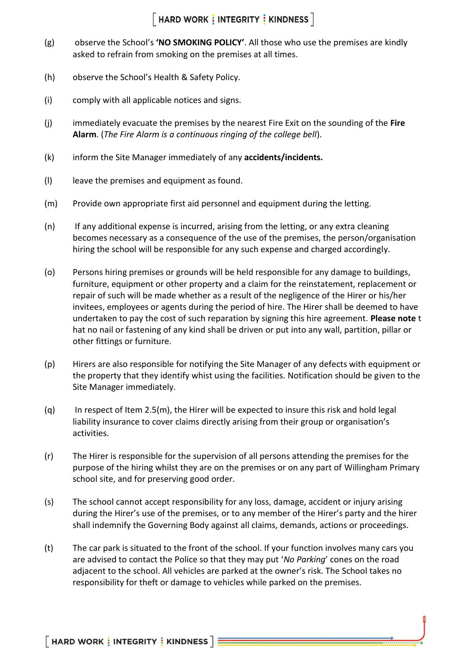## $[$  HARD WORK  $\frac{1}{2}$  INTEGRITY  $\frac{1}{2}$  KINDNESS  $]$

- (g) observe the School's **'NO SMOKING POLICY'**. All those who use the premises are kindly asked to refrain from smoking on the premises at all times.
- (h) observe the School's Health & Safety Policy.
- (i) comply with all applicable notices and signs.
- (j) immediately evacuate the premises by the nearest Fire Exit on the sounding of the **Fire Alarm**. (*The Fire Alarm is a continuous ringing of the college bell*).
- (k) inform the Site Manager immediately of any **accidents/incidents.**
- (l) leave the premises and equipment as found.
- (m) Provide own appropriate first aid personnel and equipment during the letting.
- (n) If any additional expense is incurred, arising from the letting, or any extra cleaning becomes necessary as a consequence of the use of the premises, the person/organisation hiring the school will be responsible for any such expense and charged accordingly.
- (o) Persons hiring premises or grounds will be held responsible for any damage to buildings, furniture, equipment or other property and a claim for the reinstatement, replacement or repair of such will be made whether as a result of the negligence of the Hirer or his/her invitees, employees or agents during the period of hire. The Hirer shall be deemed to have undertaken to pay the cost of such reparation by signing this hire agreement. **Please note** t hat no nail or fastening of any kind shall be driven or put into any wall, partition, pillar or other fittings or furniture.
- (p) Hirers are also responsible for notifying the Site Manager of any defects with equipment or the property that they identify whist using the facilities. Notification should be given to the Site Manager immediately.
- (q) In respect of Item 2.5(m), the Hirer will be expected to insure this risk and hold legal liability insurance to cover claims directly arising from their group or organisation's activities.
- (r) The Hirer is responsible for the supervision of all persons attending the premises for the purpose of the hiring whilst they are on the premises or on any part of Willingham Primary school site, and for preserving good order.
- (s) The school cannot accept responsibility for any loss, damage, accident or injury arising during the Hirer's use of the premises, or to any member of the Hirer's party and the hirer shall indemnify the Governing Body against all claims, demands, actions or proceedings.
- (t) The car park is situated to the front of the school. If your function involves many cars you are advised to contact the Police so that they may put '*No Parking*' cones on the road adjacent to the school. All vehicles are parked at the owner's risk. The School takes no responsibility for theft or damage to vehicles while parked on the premises.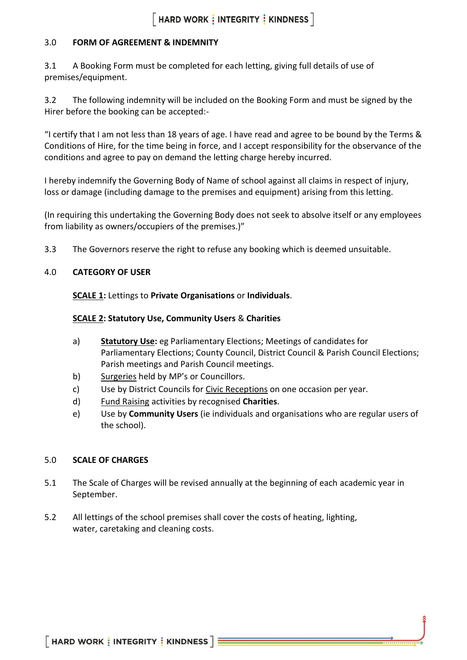## $\lceil$  HARD WORK  $\frac{1}{3}$  INTEGRITY  $\frac{1}{3}$  KINDNESS  $\rceil$

#### 3.0 **FORM OF AGREEMENT & INDEMNITY**

3.1 A Booking Form must be completed for each letting, giving full details of use of premises/equipment.

3.2 The following indemnity will be included on the Booking Form and must be signed by the Hirer before the booking can be accepted:-

"I certify that I am not less than 18 years of age. I have read and agree to be bound by the Terms & Conditions of Hire, for the time being in force, and I accept responsibility for the observance of the conditions and agree to pay on demand the letting charge hereby incurred.

I hereby indemnify the Governing Body of Name of school against all claims in respect of injury, loss or damage (including damage to the premises and equipment) arising from this letting.

(In requiring this undertaking the Governing Body does not seek to absolve itself or any employees from liability as owners/occupiers of the premises.)"

3.3 The Governors reserve the right to refuse any booking which is deemed unsuitable.

#### 4.0 **CATEGORY OF USER**

**SCALE 1:** Lettings to **Private Organisations** or **Individuals**.

#### **SCALE 2: Statutory Use, Community Users** & **Charities**

- a) **Statutory Use:** eg Parliamentary Elections; Meetings of candidates for Parliamentary Elections; County Council, District Council & Parish Council Elections; Parish meetings and Parish Council meetings.
- b) Surgeries held by MP's or Councillors.
- c) Use by District Councils for Civic Receptions on one occasion per year.
- d) Fund Raising activities by recognised **Charities**.
- e) Use by **Community Users** (ie individuals and organisations who are regular users of the school).

#### 5.0 **SCALE OF CHARGES**

- 5.1 The Scale of Charges will be revised annually at the beginning of each academic year in September.
- 5.2 All lettings of the school premises shall cover the costs of heating, lighting, water, caretaking and cleaning costs.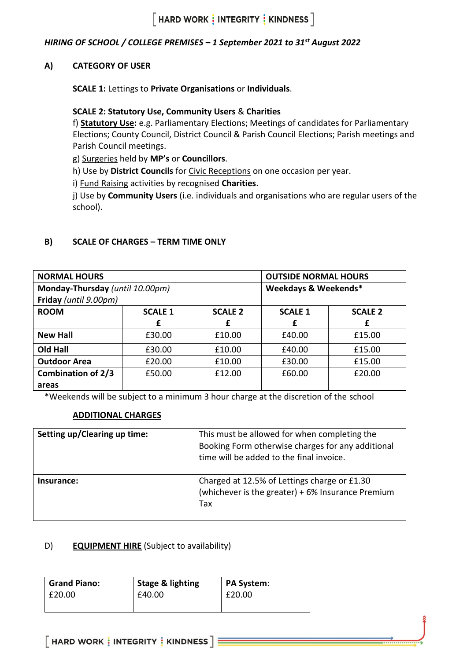### *HIRING OF SCHOOL / COLLEGE PREMISES – 1 September 2021 to 31st August 2022*

#### **A) CATEGORY OF USER**

**SCALE 1:** Lettings to **Private Organisations** or **Individuals**.

#### **SCALE 2: Statutory Use, Community Users** & **Charities**

f) **Statutory Use:** e.g. Parliamentary Elections; Meetings of candidates for Parliamentary Elections; County Council, District Council & Parish Council Elections; Parish meetings and Parish Council meetings.

g) Surgeries held by **MP's** or **Councillors**.

h) Use by **District Councils** for Civic Receptions on one occasion per year.

i) Fund Raising activities by recognised **Charities**.

j) Use by **Community Users** (i.e. individuals and organisations who are regular users of the school).

#### **B) SCALE OF CHARGES – TERM TIME ONLY**

| <b>NORMAL HOURS</b>             |                | <b>OUTSIDE NORMAL HOURS</b> |                |                |
|---------------------------------|----------------|-----------------------------|----------------|----------------|
| Monday-Thursday (until 10.00pm) |                | Weekdays & Weekends*        |                |                |
| Friday (until 9.00pm)           |                |                             |                |                |
| <b>ROOM</b>                     | <b>SCALE 1</b> | <b>SCALE 2</b>              | <b>SCALE 1</b> | <b>SCALE 2</b> |
|                                 | £              | f                           | £              | £              |
| <b>New Hall</b>                 | £30.00         | £10.00                      | £40.00         | £15.00         |
| <b>Old Hall</b>                 | £30.00         | £10.00                      | £40.00         | £15.00         |
| <b>Outdoor Area</b>             | £20.00         | £10.00                      | £30.00         | £15.00         |
| <b>Combination of 2/3</b>       | £50.00         | £12.00                      | £60.00         | £20.00         |
| areas                           |                |                             |                |                |

\*Weekends will be subject to a minimum 3 hour charge at the discretion of the school

#### **ADDITIONAL CHARGES**

| Setting up/Clearing up time: | This must be allowed for when completing the<br>Booking Form otherwise charges for any additional<br>time will be added to the final invoice. |
|------------------------------|-----------------------------------------------------------------------------------------------------------------------------------------------|
| Insurance:                   | Charged at 12.5% of Lettings charge or £1.30<br>(whichever is the greater) + 6% Insurance Premium<br>Tax                                      |

#### D) **EQUIPMENT HIRE** (Subject to availability)

| <b>Grand Piano:</b> | <b>Stage &amp; lighting</b> | <b>PA System:</b> |
|---------------------|-----------------------------|-------------------|
| £20.00              | £40.00                      | £20.00            |
|                     |                             |                   |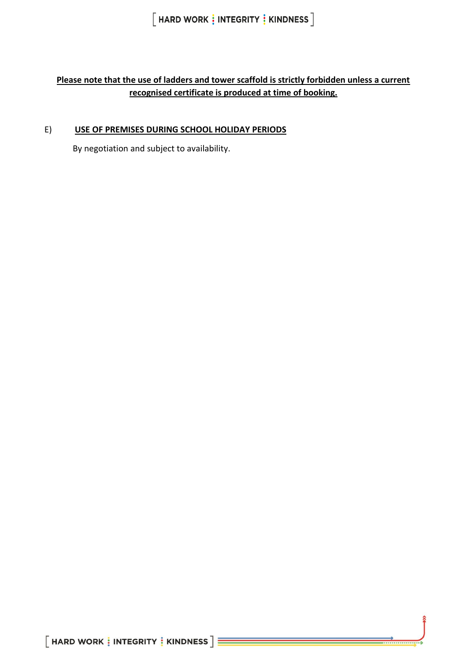$[$  HARD WORK  $\frac{1}{3}$  INTEGRITY  $\frac{1}{3}$  KINDNESS  $]$ 

### **Please note that the use of ladders and tower scaffold is strictly forbidden unless a current recognised certificate is produced at time of booking.**

#### E) **USE OF PREMISES DURING SCHOOL HOLIDAY PERIODS**

By negotiation and subject to availability.